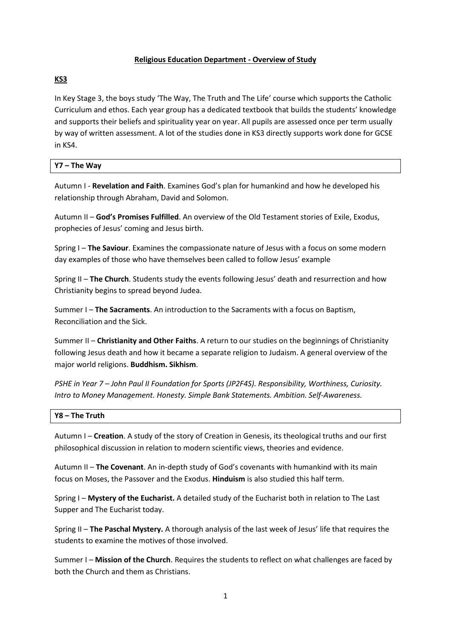### **Religious Education Department - Overview of Study**

## **KS3**

In Key Stage 3, the boys study 'The Way, The Truth and The Life' course which supports the Catholic Curriculum and ethos. Each year group has a dedicated textbook that builds the students' knowledge and supports their beliefs and spirituality year on year. All pupils are assessed once per term usually by way of written assessment. A lot of the studies done in KS3 directly supports work done for GCSE in KS4.

# **Y7 – The Way**

Autumn I - **Revelation and Faith**. Examines God's plan for humankind and how he developed his relationship through Abraham, David and Solomon.

Autumn II – **God's Promises Fulfilled**. An overview of the Old Testament stories of Exile, Exodus, prophecies of Jesus' coming and Jesus birth.

Spring I – **The Saviour**. Examines the compassionate nature of Jesus with a focus on some modern day examples of those who have themselves been called to follow Jesus' example

Spring II – **The Church**. Students study the events following Jesus' death and resurrection and how Christianity begins to spread beyond Judea.

Summer I – **The Sacraments**. An introduction to the Sacraments with a focus on Baptism, Reconciliation and the Sick.

Summer II – **Christianity and Other Faiths**. A return to our studies on the beginnings of Christianity following Jesus death and how it became a separate religion to Judaism. A general overview of the major world religions. **Buddhism. Sikhism**.

*PSHE in Year 7 – John Paul II Foundation for Sports (JP2F4S). Responsibility, Worthiness, Curiosity. Intro to Money Management. Honesty. Simple Bank Statements. Ambition. Self-Awareness.*

#### **Y8 – The Truth**

Autumn I – **Creation**. A study of the story of Creation in Genesis, its theological truths and our first philosophical discussion in relation to modern scientific views, theories and evidence.

Autumn II – **The Covenant**. An in-depth study of God's covenants with humankind with its main focus on Moses, the Passover and the Exodus. **Hinduism** is also studied this half term.

Spring I – **Mystery of the Eucharist.** A detailed study of the Eucharist both in relation to The Last Supper and The Eucharist today.

Spring II – **The Paschal Mystery.** A thorough analysis of the last week of Jesus' life that requires the students to examine the motives of those involved.

Summer I – **Mission of the Church**. Requires the students to reflect on what challenges are faced by both the Church and them as Christians.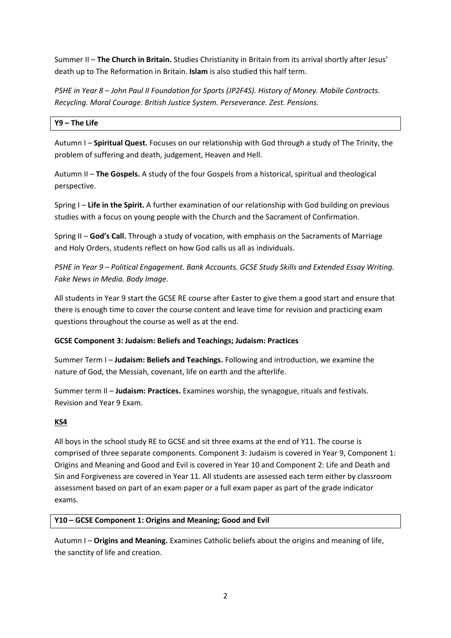Summer II – **The Church in Britain.** Studies Christianity in Britain from its arrival shortly after Jesus' death up to The Reformation in Britain. **Islam** is also studied this half term.

*PSHE in Year 8 – John Paul II Foundation for Sports (JP2F4S). History of Money. Mobile Contracts. Recycling. Moral Courage. British Justice System. Perseverance. Zest. Pensions.*

### **Y9 – The Life**

Autumn I – **Spiritual Quest.** Focuses on our relationship with God through a study of The Trinity, the problem of suffering and death, judgement, Heaven and Hell.

Autumn II – **The Gospels.** A study of the four Gospels from a historical, spiritual and theological perspective.

Spring I – **Life in the Spirit.** A further examination of our relationship with God building on previous studies with a focus on young people with the Church and the Sacrament of Confirmation.

Spring II – **God's Call.** Through a study of vocation, with emphasis on the Sacraments of Marriage and Holy Orders, students reflect on how God calls us all as individuals.

*PSHE in Year 9 – Political Engagement. Bank Accounts. GCSE Study Skills and Extended Essay Writing. Fake News in Media. Body Image.*

All students in Year 9 start the GCSE RE course after Easter to give them a good start and ensure that there is enough time to cover the course content and leave time for revision and practicing exam questions throughout the course as well as at the end.

## **GCSE Component 3: Judaism: Beliefs and Teachings; Judaism: Practices**

Summer Term I – **Judaism: Beliefs and Teachings.** Following and introduction, we examine the nature of God, the Messiah, covenant, life on earth and the afterlife.

Summer term II – **Judaism: Practices.** Examines worship, the synagogue, rituals and festivals. Revision and Year 9 Exam.

#### **KS4**

All boys in the school study RE to GCSE and sit three exams at the end of Y11. The course is comprised of three separate components. Component 3: Judaism is covered in Year 9, Component 1: Origins and Meaning and Good and Evil is covered in Year 10 and Component 2: Life and Death and Sin and Forgiveness are covered in Year 11. All students are assessed each term either by classroom assessment based on part of an exam paper or a full exam paper as part of the grade indicator exams.

#### **Y10 – GCSE Component 1: Origins and Meaning; Good and Evil**

Autumn I – **Origins and Meaning.** Examines Catholic beliefs about the origins and meaning of life, the sanctity of life and creation.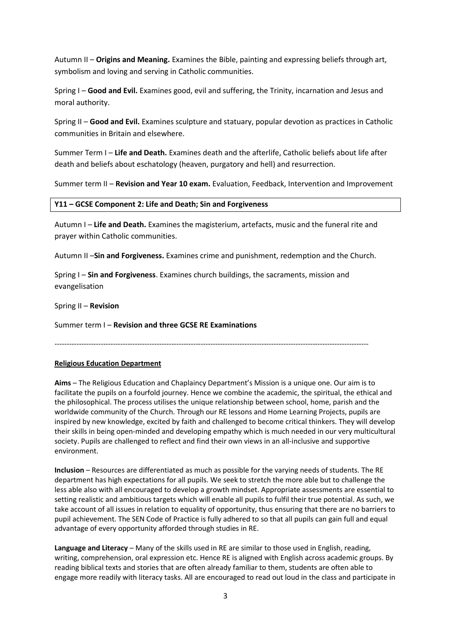Autumn II – **Origins and Meaning.** Examines the Bible, painting and expressing beliefs through art, symbolism and loving and serving in Catholic communities.

Spring I – **Good and Evil.** Examines good, evil and suffering, the Trinity, incarnation and Jesus and moral authority.

Spring II – **Good and Evil.** Examines sculpture and statuary, popular devotion as practices in Catholic communities in Britain and elsewhere.

Summer Term I – **Life and Death.** Examines death and the afterlife, Catholic beliefs about life after death and beliefs about eschatology (heaven, purgatory and hell) and resurrection.

Summer term II – **Revision and Year 10 exam.** Evaluation, Feedback, Intervention and Improvement

#### **Y11 – GCSE Component 2: Life and Death; Sin and Forgiveness**

Autumn I – **Life and Death.** Examines the magisterium, artefacts, music and the funeral rite and prayer within Catholic communities.

Autumn II –**Sin and Forgiveness.** Examines crime and punishment, redemption and the Church.

Spring I – **Sin and Forgiveness**. Examines church buildings, the sacraments, mission and evangelisation

Spring II – **Revision**

Summer term I – **Revision and three GCSE RE Examinations**

---------------------------------------------------------------------------------------------------------------------------------

## **Religious Education Department**

**Aims** – The Religious Education and Chaplaincy Department's Mission is a unique one. Our aim is to facilitate the pupils on a fourfold journey. Hence we combine the academic, the spiritual, the ethical and the philosophical. The process utilises the unique relationship between school, home, parish and the worldwide community of the Church. Through our RE lessons and Home Learning Projects, pupils are inspired by new knowledge, excited by faith and challenged to become critical thinkers. They will develop their skills in being open-minded and developing empathy which is much needed in our very multicultural society. Pupils are challenged to reflect and find their own views in an all-inclusive and supportive environment.

**Inclusion** – Resources are differentiated as much as possible for the varying needs of students. The RE department has high expectations for all pupils. We seek to stretch the more able but to challenge the less able also with all encouraged to develop a growth mindset. Appropriate assessments are essential to setting realistic and ambitious targets which will enable all pupils to fulfil their true potential. As such, we take account of all issues in relation to equality of opportunity, thus ensuring that there are no barriers to pupil achievement. The SEN Code of Practice is fully adhered to so that all pupils can gain full and equal advantage of every opportunity afforded through studies in RE.

Language and Literacy – Many of the skills used in RE are similar to those used in English, reading, writing, comprehension, oral expression etc. Hence RE is aligned with English across academic groups. By reading biblical texts and stories that are often already familiar to them, students are often able to engage more readily with literacy tasks. All are encouraged to read out loud in the class and participate in